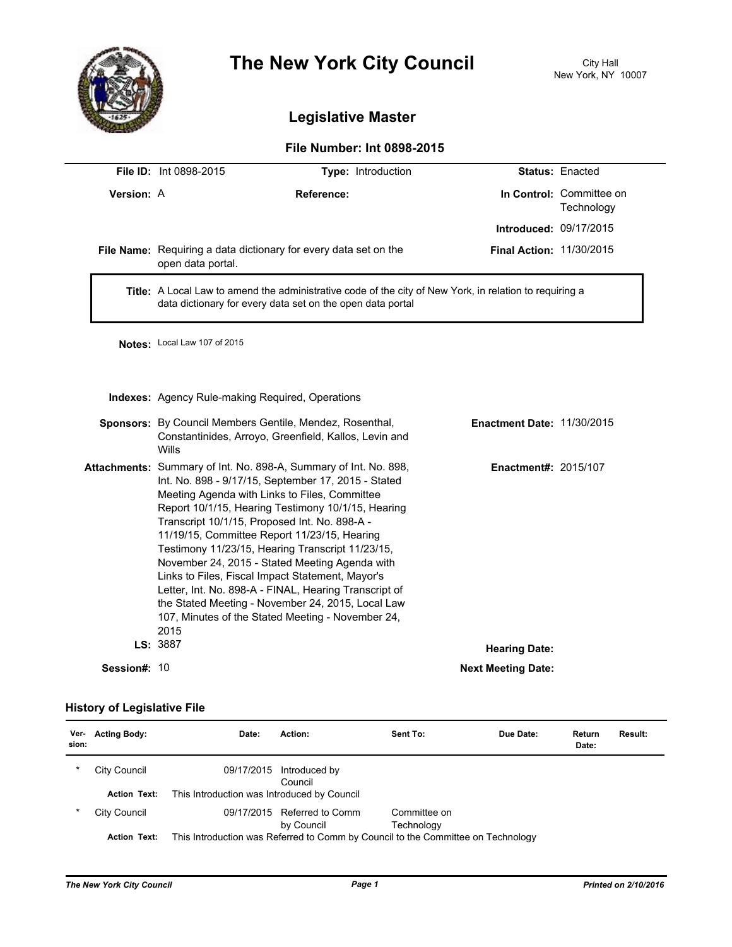

# **The New York City Council**

## **Legislative Master**

### **File Number: Int 0898-2015**

|              | <b>File ID: Int 0898-2015</b>                                                                                                                                                                                                                                                                                                                                                                                                                                                                                                                                                                                                                                        | Type: Introduction                |                                        | Status: Enacted          |  |  |
|--------------|----------------------------------------------------------------------------------------------------------------------------------------------------------------------------------------------------------------------------------------------------------------------------------------------------------------------------------------------------------------------------------------------------------------------------------------------------------------------------------------------------------------------------------------------------------------------------------------------------------------------------------------------------------------------|-----------------------------------|----------------------------------------|--------------------------|--|--|
| Version: A   | <b>Reference:</b>                                                                                                                                                                                                                                                                                                                                                                                                                                                                                                                                                                                                                                                    |                                   | In Control: Committee on<br>Technology |                          |  |  |
|              |                                                                                                                                                                                                                                                                                                                                                                                                                                                                                                                                                                                                                                                                      |                                   | <b>Introduced: 09/17/2015</b>          |                          |  |  |
|              | File Name: Requiring a data dictionary for every data set on the<br>open data portal.                                                                                                                                                                                                                                                                                                                                                                                                                                                                                                                                                                                |                                   |                                        | Final Action: 11/30/2015 |  |  |
|              | Title: A Local Law to amend the administrative code of the city of New York, in relation to requiring a<br>data dictionary for every data set on the open data portal                                                                                                                                                                                                                                                                                                                                                                                                                                                                                                |                                   |                                        |                          |  |  |
|              | Notes: Local Law 107 of 2015                                                                                                                                                                                                                                                                                                                                                                                                                                                                                                                                                                                                                                         |                                   |                                        |                          |  |  |
|              | <b>Indexes:</b> Agency Rule-making Required, Operations                                                                                                                                                                                                                                                                                                                                                                                                                                                                                                                                                                                                              |                                   |                                        |                          |  |  |
|              | Sponsors: By Council Members Gentile, Mendez, Rosenthal,<br>Constantinides, Arroyo, Greenfield, Kallos, Levin and<br>Wills                                                                                                                                                                                                                                                                                                                                                                                                                                                                                                                                           | <b>Enactment Date: 11/30/2015</b> |                                        |                          |  |  |
|              | Attachments: Summary of Int. No. 898-A, Summary of Int. No. 898,<br>Int. No. 898 - 9/17/15, September 17, 2015 - Stated<br>Meeting Agenda with Links to Files, Committee<br>Report 10/1/15, Hearing Testimony 10/1/15, Hearing<br>Transcript 10/1/15, Proposed Int. No. 898-A -<br>11/19/15, Committee Report 11/23/15, Hearing<br>Testimony 11/23/15, Hearing Transcript 11/23/15,<br>November 24, 2015 - Stated Meeting Agenda with<br>Links to Files, Fiscal Impact Statement, Mayor's<br>Letter, Int. No. 898-A - FINAL, Hearing Transcript of<br>the Stated Meeting - November 24, 2015, Local Law<br>107, Minutes of the Stated Meeting - November 24,<br>2015 | Enactment#: 2015/107              |                                        |                          |  |  |
|              | LS: 3887<br><b>Hearing Date:</b>                                                                                                                                                                                                                                                                                                                                                                                                                                                                                                                                                                                                                                     |                                   |                                        |                          |  |  |
| Session#: 10 |                                                                                                                                                                                                                                                                                                                                                                                                                                                                                                                                                                                                                                                                      |                                   | <b>Next Meeting Date:</b>              |                          |  |  |

#### **History of Legislative File**

| Ver-<br>sion: | <b>Acting Body:</b> | Date:                                       | Action:                                   | Sent To:                                                                         | Due Date: | Return<br>Date: | Result: |
|---------------|---------------------|---------------------------------------------|-------------------------------------------|----------------------------------------------------------------------------------|-----------|-----------------|---------|
| *             | City Council        | 09/17/2015                                  | Introduced by<br>Council                  |                                                                                  |           |                 |         |
|               | <b>Action Text:</b> | This Introduction was Introduced by Council |                                           |                                                                                  |           |                 |         |
| *             | City Council        |                                             | 09/17/2015 Referred to Comm<br>by Council | Committee on<br>Technology                                                       |           |                 |         |
|               | <b>Action Text:</b> |                                             |                                           | This Introduction was Referred to Comm by Council to the Committee on Technology |           |                 |         |